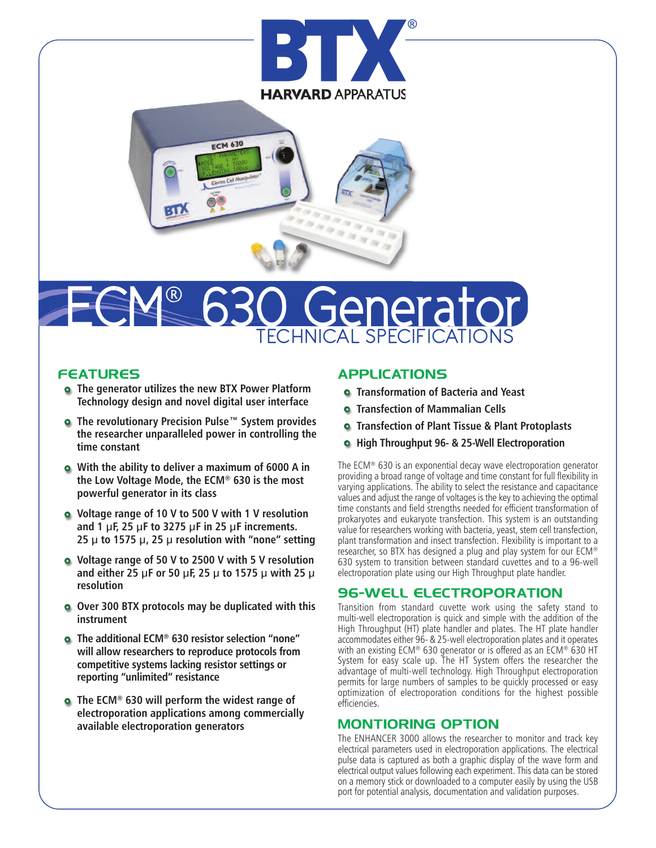



# **I SPECIFICATIO** ECM® herato

### **FEATURES**

- **The generator utilizes the new BTX Power Platform Technology design and novel digital user interface**
- **The revolutionary Precision Pulse™ System provides the researcher unparalleled power in controlling the time constant**
- **With the ability to deliver a maximum of 6000 A in the Low Voltage Mode, the ECM® 630 is the most powerful generator in its class**
- **Voltage range of 10 V to 500 V with 1 V resolution and 1 µF, 25 µF to 3275 µF in 25 µF increments. 25 µ to 1575 µ, 25 µ resolution with "none" setting**
- **Voltage range of 50 V to 2500 V with 5 V resolution and either 25 µF or 50 µF, 25 µ to 1575 µ with 25 µ resolution**
- **Over 300 BTX protocols may be duplicated with this instrument**
- **The additional ECM® 630 resistor selection "none" will allow researchers to reproduce protocols from competitive systems lacking resistor settings or reporting "unlimited" resistance**
- **The ECM® 630 will perform the widest range of electroporation applications among commercially available electroporation generators**

# **APPLICATIONS**

- **Transformation of Bacteria and Yeast**
- **Transfection of Mammalian Cells**
- **Transfection of Plant Tissue & Plant Protoplasts**
- **High Throughput 96- & 25-Well Electroporation**

The ECM® 630 is an exponential decay wave electroporation generator providing a broad range of voltage and time constant for full flexibility in varying applications. The ability to select the resistance and capacitance values and adjust the range of voltages is the keyto achieving the optimal time constants and field strengths needed for efficient transformation of prokaryotes and eukaryote transfection. This system is an outstanding value for researchers working with bacteria, yeast, stem cell transfection, plant transformation and insect transfection. Flexibility is important to a researcher, so BTX has designed a plug and play system for our ECM® 630 system to transition between standard cuvettes and to a 96-well electroporation plate using our High Throughput plate handler.

# **96-WELL ELECTROPORATION**

Transition from standard cuvette work using the safety stand to multi-well electroporation is quick and simple with the addition of the High Throughput (HT) plate handler and plates. The HT plate handler accommodates either 96- & 25-well electroporation plates and it operates with an existing ECM® 630 generator or is offered as an ECM® 630 HT System for easy scale up. The HT System offers the researcher the advantage of multi-well technology. High Throughput electroporation permits for large numbers of samples to be quickly processed or easy optimization of electroporation conditions for the highest possible efficiencies.

# **MONTIORING OPTION**

The ENHANCER 3000 allows the researcher to monitor and track key electrical parameters used in electroporation applications. The electrical pulse data is captured as both a graphic display of the wave form and electrical output values following each experiment. This data can be stored on a memory stick or downloaded to a computer easily by using the USB port for potential analysis, documentation and validation purposes.